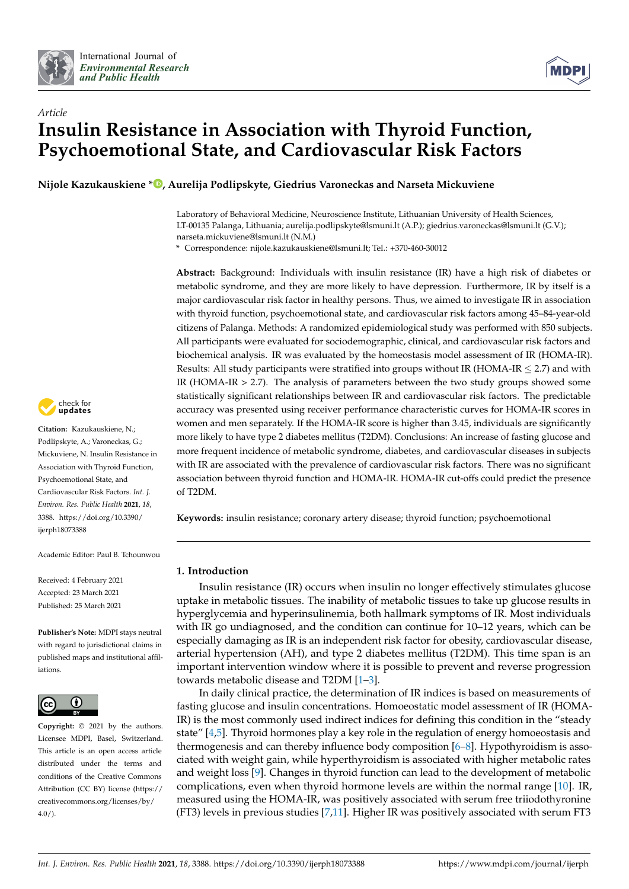



# *Article* **Insulin Resistance in Association with Thyroid Function, Psychoemotional State, and Cardiovascular Risk Factors**

**Nijole Kazukauskiene [\\*](https://orcid.org/0000-0003-4268-5303) , Aurelija Podlipskyte, Giedrius Varoneckas and Narseta Mickuviene**

Laboratory of Behavioral Medicine, Neuroscience Institute, Lithuanian University of Health Sciences, LT-00135 Palanga, Lithuania; aurelija.podlipskyte@lsmuni.lt (A.P.); giedrius.varoneckas@lsmuni.lt (G.V.); narseta.mickuviene@lsmuni.lt (N.M.)

**\*** Correspondence: nijole.kazukauskiene@lsmuni.lt; Tel.: +370-460-30012

**Abstract:** Background: Individuals with insulin resistance (IR) have a high risk of diabetes or metabolic syndrome, and they are more likely to have depression. Furthermore, IR by itself is a major cardiovascular risk factor in healthy persons. Thus, we aimed to investigate IR in association with thyroid function, psychoemotional state, and cardiovascular risk factors among 45–84-year-old citizens of Palanga. Methods: A randomized epidemiological study was performed with 850 subjects. All participants were evaluated for sociodemographic, clinical, and cardiovascular risk factors and biochemical analysis. IR was evaluated by the homeostasis model assessment of IR (HOMA-IR). Results: All study participants were stratified into groups without IR (HOMA-IR  $\leq$  2.7) and with IR (HOMA-IR  $> 2.7$ ). The analysis of parameters between the two study groups showed some statistically significant relationships between IR and cardiovascular risk factors. The predictable accuracy was presented using receiver performance characteristic curves for HOMA-IR scores in women and men separately. If the HOMA-IR score is higher than 3.45, individuals are significantly more likely to have type 2 diabetes mellitus (T2DM). Conclusions: An increase of fasting glucose and more frequent incidence of metabolic syndrome, diabetes, and cardiovascular diseases in subjects with IR are associated with the prevalence of cardiovascular risk factors. There was no significant association between thyroid function and HOMA-IR. HOMA-IR cut-offs could predict the presence of T2DM.

**Keywords:** insulin resistance; coronary artery disease; thyroid function; psychoemotional

# **1. Introduction**

Insulin resistance (IR) occurs when insulin no longer effectively stimulates glucose uptake in metabolic tissues. The inability of metabolic tissues to take up glucose results in hyperglycemia and hyperinsulinemia, both hallmark symptoms of IR. Most individuals with IR go undiagnosed, and the condition can continue for 10–12 years, which can be especially damaging as IR is an independent risk factor for obesity, cardiovascular disease, arterial hypertension (AH), and type 2 diabetes mellitus (T2DM). This time span is an important intervention window where it is possible to prevent and reverse progression towards metabolic disease and T2DM [\[1](#page-10-0)[–3\]](#page-10-1).

In daily clinical practice, the determination of IR indices is based on measurements of fasting glucose and insulin concentrations. Homoeostatic model assessment of IR (HOMA-IR) is the most commonly used indirect indices for defining this condition in the "steady state"  $[4,5]$  $[4,5]$ . Thyroid hormones play a key role in the regulation of energy homoeostasis and thermogenesis and can thereby influence body composition [\[6–](#page-11-2)[8\]](#page-11-3). Hypothyroidism is associated with weight gain, while hyperthyroidism is associated with higher metabolic rates and weight loss [\[9\]](#page-11-4). Changes in thyroid function can lead to the development of metabolic complications, even when thyroid hormone levels are within the normal range [\[10\]](#page-11-5). IR, measured using the HOMA-IR, was positively associated with serum free triiodothyronine (FT3) levels in previous studies [\[7,](#page-11-6)[11\]](#page-11-7). Higher IR was positively associated with serum FT3



**Citation:** Kazukauskiene, N.; Podlipskyte, A.; Varoneckas, G.; Mickuviene, N. Insulin Resistance in Association with Thyroid Function, Psychoemotional State, and Cardiovascular Risk Factors. *Int. J. Environ. Res. Public Health* **2021**, *18*, 3388. [https://doi.org/10.3390/](https://doi.org/10.3390/ijerph18073388) [ijerph18073388](https://doi.org/10.3390/ijerph18073388)

Academic Editor: Paul B. Tchounwou

Received: 4 February 2021 Accepted: 23 March 2021 Published: 25 March 2021

**Publisher's Note:** MDPI stays neutral with regard to jurisdictional claims in published maps and institutional affiliations.



**Copyright:** © 2021 by the authors. Licensee MDPI, Basel, Switzerland. This article is an open access article distributed under the terms and conditions of the Creative Commons Attribution (CC BY) license (https:/[/](https://creativecommons.org/licenses/by/4.0/) [creativecommons.org/licenses/by/](https://creativecommons.org/licenses/by/4.0/) 4.0/).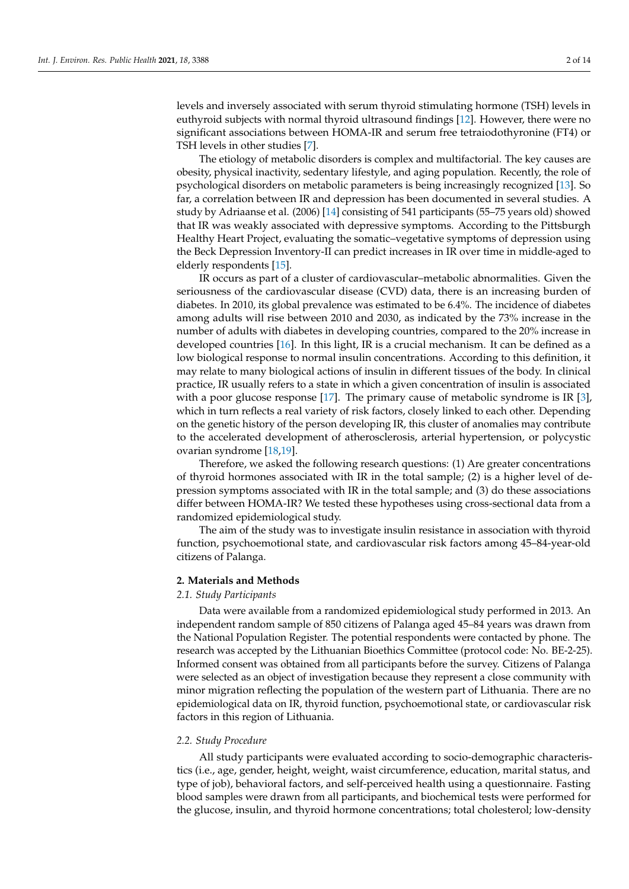levels and inversely associated with serum thyroid stimulating hormone (TSH) levels in euthyroid subjects with normal thyroid ultrasound findings [\[12\]](#page-11-8). However, there were no significant associations between HOMA-IR and serum free tetraiodothyronine (FT4) or TSH levels in other studies [\[7\]](#page-11-6).

The etiology of metabolic disorders is complex and multifactorial. The key causes are obesity, physical inactivity, sedentary lifestyle, and aging population. Recently, the role of psychological disorders on metabolic parameters is being increasingly recognized [\[13\]](#page-11-9). So far, a correlation between IR and depression has been documented in several studies. A study by Adriaanse et al. (2006) [\[14\]](#page-11-10) consisting of 541 participants (55–75 years old) showed that IR was weakly associated with depressive symptoms. According to the Pittsburgh Healthy Heart Project, evaluating the somatic–vegetative symptoms of depression using the Beck Depression Inventory-II can predict increases in IR over time in middle-aged to elderly respondents [\[15\]](#page-11-11).

IR occurs as part of a cluster of cardiovascular–metabolic abnormalities. Given the seriousness of the cardiovascular disease (CVD) data, there is an increasing burden of diabetes. In 2010, its global prevalence was estimated to be 6.4%. The incidence of diabetes among adults will rise between 2010 and 2030, as indicated by the 73% increase in the number of adults with diabetes in developing countries, compared to the 20% increase in developed countries [\[16\]](#page-11-12). In this light, IR is a crucial mechanism. It can be defined as a low biological response to normal insulin concentrations. According to this definition, it may relate to many biological actions of insulin in different tissues of the body. In clinical practice, IR usually refers to a state in which a given concentration of insulin is associated with a poor glucose response [\[17\]](#page-11-13). The primary cause of metabolic syndrome is IR [\[3\]](#page-10-1), which in turn reflects a real variety of risk factors, closely linked to each other. Depending on the genetic history of the person developing IR, this cluster of anomalies may contribute to the accelerated development of atherosclerosis, arterial hypertension, or polycystic ovarian syndrome [\[18,](#page-11-14)[19\]](#page-11-15).

Therefore, we asked the following research questions: (1) Are greater concentrations of thyroid hormones associated with IR in the total sample; (2) is a higher level of depression symptoms associated with IR in the total sample; and (3) do these associations differ between HOMA-IR? We tested these hypotheses using cross-sectional data from a randomized epidemiological study.

The aim of the study was to investigate insulin resistance in association with thyroid function, psychoemotional state, and cardiovascular risk factors among 45–84-year-old citizens of Palanga.

## **2. Materials and Methods**

# *2.1. Study Participants*

Data were available from a randomized epidemiological study performed in 2013. An independent random sample of 850 citizens of Palanga aged 45–84 years was drawn from the National Population Register. The potential respondents were contacted by phone. The research was accepted by the Lithuanian Bioethics Committee (protocol code: No. BE-2-25). Informed consent was obtained from all participants before the survey. Citizens of Palanga were selected as an object of investigation because they represent a close community with minor migration reflecting the population of the western part of Lithuania. There are no epidemiological data on IR, thyroid function, psychoemotional state, or cardiovascular risk factors in this region of Lithuania.

## *2.2. Study Procedure*

All study participants were evaluated according to socio-demographic characteristics (i.e., age, gender, height, weight, waist circumference, education, marital status, and type of job), behavioral factors, and self-perceived health using a questionnaire. Fasting blood samples were drawn from all participants, and biochemical tests were performed for the glucose, insulin, and thyroid hormone concentrations; total cholesterol; low-density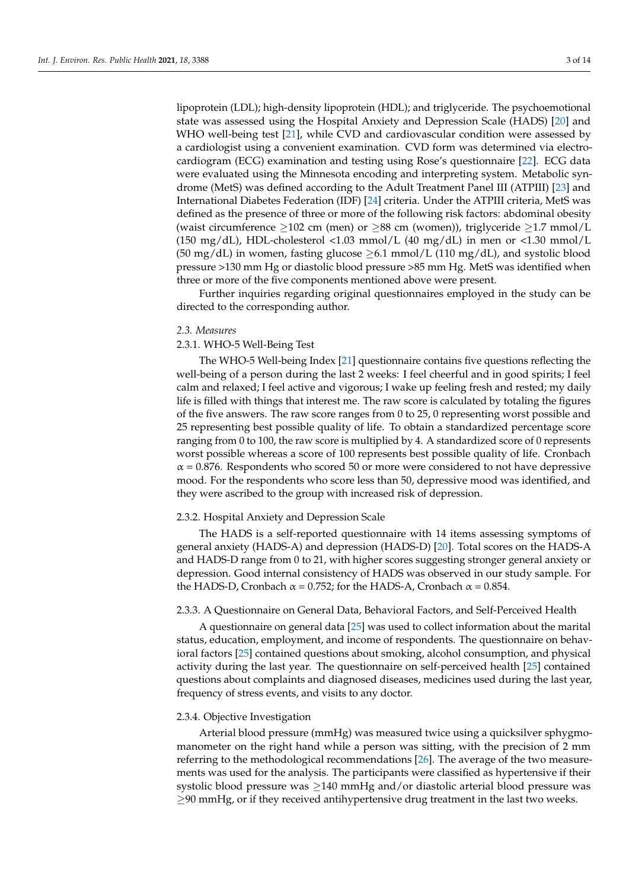lipoprotein (LDL); high-density lipoprotein (HDL); and triglyceride. The psychoemotional state was assessed using the Hospital Anxiety and Depression Scale (HADS) [\[20\]](#page-11-16) and WHO well-being test [\[21\]](#page-11-17), while CVD and cardiovascular condition were assessed by a cardiologist using a convenient examination. CVD form was determined via electrocardiogram (ECG) examination and testing using Rose's questionnaire [\[22\]](#page-11-18). ECG data were evaluated using the Minnesota encoding and interpreting system. Metabolic syndrome (MetS) was defined according to the Adult Treatment Panel III (ATPIII) [\[23\]](#page-11-19) and International Diabetes Federation (IDF) [\[24\]](#page-11-20) criteria. Under the ATPIII criteria, MetS was defined as the presence of three or more of the following risk factors: abdominal obesity (waist circumference  $>102$  cm (men) or  $>88$  cm (women)), triglyceride  $>1.7$  mmol/L (150 mg/dL), HDL-cholesterol <1.03 mmol/L (40 mg/dL) in men or <1.30 mmol/L (50 mg/dL) in women, fasting glucose  $\geq$ 6.1 mmol/L (110 mg/dL), and systolic blood pressure >130 mm Hg or diastolic blood pressure >85 mm Hg. MetS was identified when three or more of the five components mentioned above were present.

Further inquiries regarding original questionnaires employed in the study can be directed to the corresponding author.

#### *2.3. Measures*

# 2.3.1. WHO-5 Well-Being Test

The WHO-5 Well-being Index [\[21\]](#page-11-17) questionnaire contains five questions reflecting the well-being of a person during the last 2 weeks: I feel cheerful and in good spirits; I feel calm and relaxed; I feel active and vigorous; I wake up feeling fresh and rested; my daily life is filled with things that interest me. The raw score is calculated by totaling the figures of the five answers. The raw score ranges from 0 to 25, 0 representing worst possible and 25 representing best possible quality of life. To obtain a standardized percentage score ranging from 0 to 100, the raw score is multiplied by 4. A standardized score of 0 represents worst possible whereas a score of 100 represents best possible quality of life. Cronbach  $\alpha$  = 0.876. Respondents who scored 50 or more were considered to not have depressive mood. For the respondents who score less than 50, depressive mood was identified, and they were ascribed to the group with increased risk of depression.

## 2.3.2. Hospital Anxiety and Depression Scale

The HADS is a self-reported questionnaire with 14 items assessing symptoms of general anxiety (HADS-A) and depression (HADS-D) [\[20\]](#page-11-16). Total scores on the HADS-A and HADS-D range from 0 to 21, with higher scores suggesting stronger general anxiety or depression. Good internal consistency of HADS was observed in our study sample. For the HADS-D, Cronbach  $\alpha$  = 0.752; for the HADS-A, Cronbach  $\alpha$  = 0.854.

# 2.3.3. A Questionnaire on General Data, Behavioral Factors, and Self-Perceived Health

A questionnaire on general data [\[25\]](#page-11-21) was used to collect information about the marital status, education, employment, and income of respondents. The questionnaire on behavioral factors [\[25\]](#page-11-21) contained questions about smoking, alcohol consumption, and physical activity during the last year. The questionnaire on self-perceived health [\[25\]](#page-11-21) contained questions about complaints and diagnosed diseases, medicines used during the last year, frequency of stress events, and visits to any doctor.

## 2.3.4. Objective Investigation

Arterial blood pressure (mmHg) was measured twice using a quicksilver sphygmomanometer on the right hand while a person was sitting, with the precision of 2 mm referring to the methodological recommendations [\[26\]](#page-11-22). The average of the two measurements was used for the analysis. The participants were classified as hypertensive if their systolic blood pressure was  $\geq$ 140 mmHg and/or diastolic arterial blood pressure was  $\geq$ 90 mmHg, or if they received antihypertensive drug treatment in the last two weeks.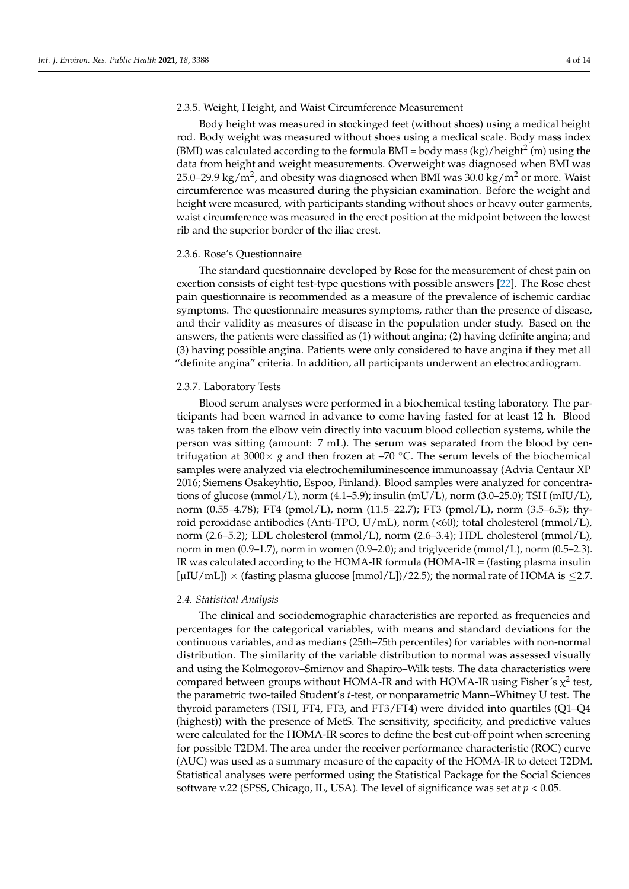# 2.3.5. Weight, Height, and Waist Circumference Measurement

Body height was measured in stockinged feet (without shoes) using a medical height rod. Body weight was measured without shoes using a medical scale. Body mass index (BMI) was calculated according to the formula BMI = body mass (kg)/height<sup>2</sup> (m) using the data from height and weight measurements. Overweight was diagnosed when BMI was 25.0–29.9 kg/m<sup>2</sup>, and obesity was diagnosed when BMI was 30.0 kg/m<sup>2</sup> or more. Waist circumference was measured during the physician examination. Before the weight and height were measured, with participants standing without shoes or heavy outer garments, waist circumference was measured in the erect position at the midpoint between the lowest rib and the superior border of the iliac crest.

## 2.3.6. Rose's Questionnaire

The standard questionnaire developed by Rose for the measurement of chest pain on exertion consists of eight test-type questions with possible answers [\[22\]](#page-11-18). The Rose chest pain questionnaire is recommended as a measure of the prevalence of ischemic cardiac symptoms. The questionnaire measures symptoms, rather than the presence of disease, and their validity as measures of disease in the population under study. Based on the answers, the patients were classified as (1) without angina; (2) having definite angina; and (3) having possible angina. Patients were only considered to have angina if they met all "definite angina" criteria. In addition, all participants underwent an electrocardiogram.

## 2.3.7. Laboratory Tests

Blood serum analyses were performed in a biochemical testing laboratory. The participants had been warned in advance to come having fasted for at least 12 h. Blood was taken from the elbow vein directly into vacuum blood collection systems, while the person was sitting (amount: 7 mL). The serum was separated from the blood by centrifugation at 3000 $\times$  *g* and then frozen at –70 °C. The serum levels of the biochemical samples were analyzed via electrochemiluminescence immunoassay (Advia Centaur XP 2016; Siemens Osakeyhtio, Espoo, Finland). Blood samples were analyzed for concentrations of glucose (mmol/L), norm  $(4.1-5.9)$ ; insulin (mU/L), norm  $(3.0-25.0)$ ; TSH (mIU/L), norm (0.55–4.78); FT4 (pmol/L), norm (11.5–22.7); FT3 (pmol/L), norm (3.5–6.5); thyroid peroxidase antibodies (Anti-TPO,  $U/mL$ ), norm (<60); total cholesterol (mmol/L), norm (2.6–5.2); LDL cholesterol (mmol/L), norm (2.6–3.4); HDL cholesterol (mmol/L), norm in men (0.9–1.7), norm in women (0.9–2.0); and triglyceride (mmol/L), norm (0.5–2.3). IR was calculated according to the HOMA-IR formula (HOMA-IR = (fasting plasma insulin [µIU/mL])  $\times$  (fasting plasma glucose [mmol/L])/22.5); the normal rate of HOMA is  $\leq$ 2.7.

# *2.4. Statistical Analysis*

The clinical and sociodemographic characteristics are reported as frequencies and percentages for the categorical variables, with means and standard deviations for the continuous variables, and as medians (25th–75th percentiles) for variables with non-normal distribution. The similarity of the variable distribution to normal was assessed visually and using the Kolmogorov–Smirnov and Shapiro–Wilk tests. The data characteristics were compared between groups without HOMA-IR and with HOMA-IR using Fisher's  $\chi^2$  test, the parametric two-tailed Student's *t*-test, or nonparametric Mann–Whitney U test. The thyroid parameters (TSH, FT4, FT3, and FT3/FT4) were divided into quartiles (Q1–Q4 (highest)) with the presence of MetS. The sensitivity, specificity, and predictive values were calculated for the HOMA-IR scores to define the best cut-off point when screening for possible T2DM. The area under the receiver performance characteristic (ROC) curve (AUC) was used as a summary measure of the capacity of the HOMA-IR to detect T2DM. Statistical analyses were performed using the Statistical Package for the Social Sciences software v.22 (SPSS, Chicago, IL, USA). The level of significance was set at *p* < 0.05.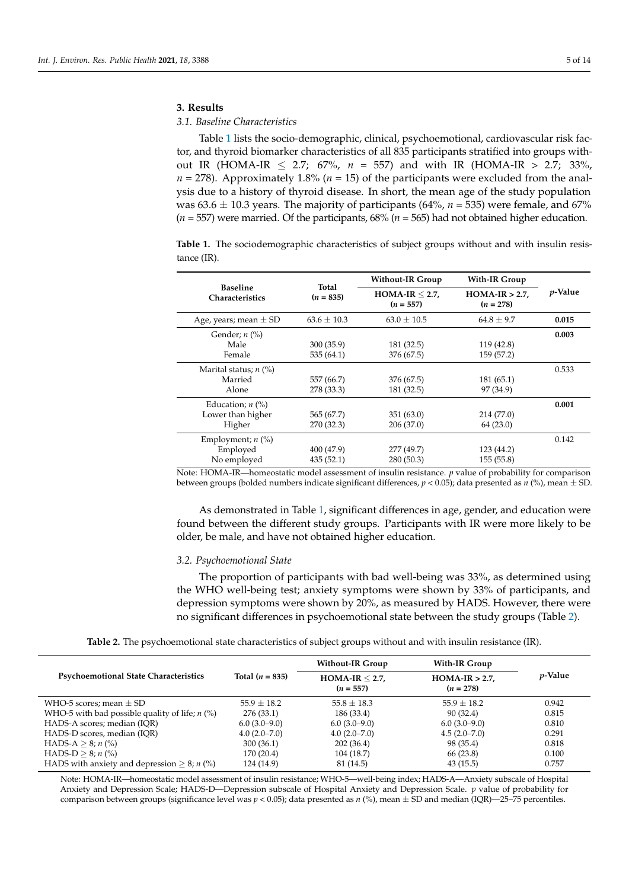# **3. Results**

# *3.1. Baseline Characteristics*

Table [1](#page-4-0) lists the socio-demographic, clinical, psychoemotional, cardiovascular risk factor, and thyroid biomarker characteristics of all 835 participants stratified into groups without IR (HOMA-IR  $\leq$  2.7; 67%,  $n = 557$ ) and with IR (HOMA-IR > 2.7; 33%,  $n = 278$ ). Approximately 1.8% ( $n = 15$ ) of the participants were excluded from the analysis due to a history of thyroid disease. In short, the mean age of the study population was  $63.6 \pm 10.3$  years. The majority of participants (64%,  $n = 535$ ) were female, and 67% (*n* = 557) were married. Of the participants, 68% (*n* = 565) had not obtained higher education.

<span id="page-4-0"></span>**Table 1.** The sociodemographic characteristics of subject groups without and with insulin resistance (IR).

|                                           |                      | <b>Without-IR Group</b>           | With-IR Group                  |                 |  |
|-------------------------------------------|----------------------|-----------------------------------|--------------------------------|-----------------|--|
| <b>Baseline</b><br><b>Characteristics</b> | Total<br>$(n = 835)$ | $HOMA-IR \leq 2.7$<br>$(n = 557)$ | $HOMA-IR > 2.7$<br>$(n = 278)$ | <i>p</i> -Value |  |
| Age, years; mean $\pm$ SD                 | $63.6 \pm 10.3$      | $63.0 \pm 10.5$                   | $64.8 \pm 9.7$                 | 0.015           |  |
| Gender; $n$ (%)                           |                      |                                   |                                | 0.003           |  |
| Male                                      | 300(35.9)            | 181 (32.5)                        | 119 (42.8)                     |                 |  |
| Female                                    | 535(64.1)            | 376 (67.5)                        | 159 (57.2)                     |                 |  |
| Marital status; $n$ (%)                   |                      |                                   |                                | 0.533           |  |
| Married                                   | 557 (66.7)           | 376 (67.5)                        | 181(65.1)                      |                 |  |
| Alone                                     | 278 (33.3)           | 181 (32.5)                        | 97 (34.9)                      |                 |  |
| Education; $n$ (%)                        |                      |                                   |                                | 0.001           |  |
| Lower than higher                         | 565 (67.7)           | 351(63.0)                         | 214 (77.0)                     |                 |  |
| Higher                                    | 270 (32.3)           | 206 (37.0)                        | 64(23.0)                       |                 |  |
| Employment; $n$ (%)                       |                      |                                   |                                | 0.142           |  |
| Employed                                  | 400 (47.9)           | 277 (49.7)                        | 123 (44.2)                     |                 |  |
| No employed                               | 435(52.1)            | 280 (50.3)                        | 155(55.8)                      |                 |  |

Note: HOMA-IR—homeostatic model assessment of insulin resistance. *p* value of probability for comparison between groups (bolded numbers indicate significant differences, *p* < 0.05); data presented as *n* (%), mean ± SD.

As demonstrated in Table [1,](#page-4-0) significant differences in age, gender, and education were found between the different study groups. Participants with IR were more likely to be older, be male, and have not obtained higher education.

## *3.2. Psychoemotional State*

The proportion of participants with bad well-being was 33%, as determined using the WHO well-being test; anxiety symptoms were shown by 33% of participants, and depression symptoms were shown by 20%, as measured by HADS. However, there were no significant differences in psychoemotional state between the study groups (Table [2\)](#page-4-1).

| Table 2. The psychoemotional state characteristics of subject groups without and with insulin resistance (IR). |  |  |
|----------------------------------------------------------------------------------------------------------------|--|--|
|----------------------------------------------------------------------------------------------------------------|--|--|

<span id="page-4-1"></span>

|                                                          |                   | <b>Without-IR Group</b>           | With-IR Group                  |                 |  |
|----------------------------------------------------------|-------------------|-----------------------------------|--------------------------------|-----------------|--|
| <b>Psychoemotional State Characteristics</b>             | Total $(n = 835)$ | $HOMA-IR \leq 2.7$<br>$(n = 557)$ | $HOMA-IR > 2.7$<br>$(n = 278)$ | <i>p</i> -Value |  |
| WHO-5 scores; mean $\pm$ SD                              | $55.9 \pm 18.2$   | $55.8 \pm 18.3$                   | $55.9 + 18.2$                  | 0.942           |  |
| WHO-5 with bad possible quality of life; $n$ (%)         | 276 (33.1)        | 186 (33.4)                        | 90(32.4)                       | 0.815           |  |
| HADS-A scores; median (IQR)                              | $6.0(3.0-9.0)$    | $6.0(3.0-9.0)$                    | $6.0(3.0-9.0)$                 | 0.810           |  |
| HADS-D scores, median (IOR)                              | $4.0(2.0 - 7.0)$  | $4.0(2.0 - 7.0)$                  | $4.5(2.0 - 7.0)$               | 0.291           |  |
| HADS-A $> 8$ ; n (%)                                     | 300(36.1)         | 202(36.4)                         | 98 (35.4)                      | 0.818           |  |
| HADS-D $> 8; n$ (%)                                      | 170 (20.4)        | 104 (18.7)                        | 66 (23.8)                      | 0.100           |  |
| HADS with anxiety and depression $\geq 8$ ; <i>n</i> (%) | 124 (14.9)        | 81 (14.5)                         | 43(15.5)                       | 0.757           |  |

Note: HOMA-IR—homeostatic model assessment of insulin resistance; WHO-5—well-being index; HADS-A—Anxiety subscale of Hospital Anxiety and Depression Scale; HADS-D—Depression subscale of Hospital Anxiety and Depression Scale. *p* value of probability for comparison between groups (significance level was *p <* 0.05); data presented as *n* (%), mean ± SD and median (IQR)—25–75 percentiles.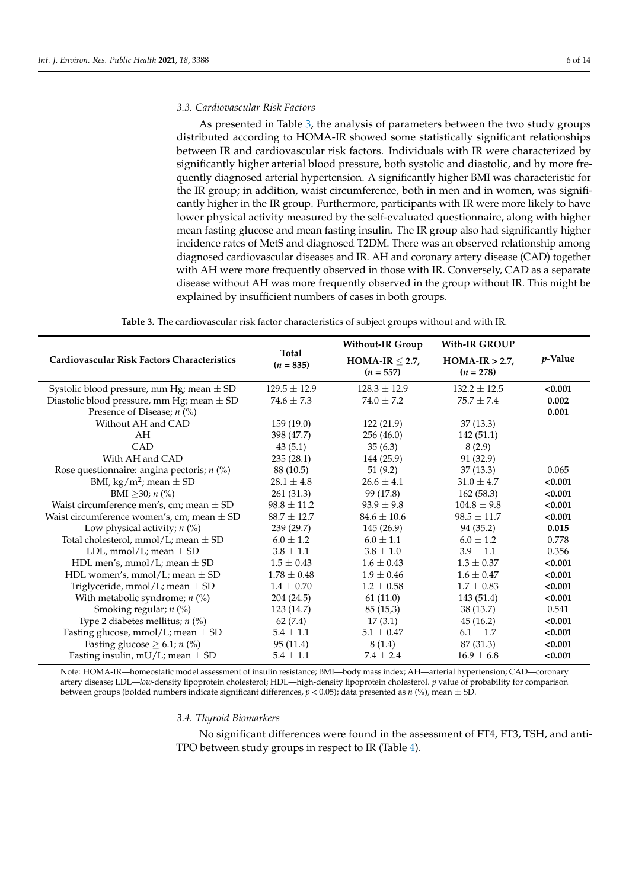## *3.3. Cardiovascular Risk Factors*

As presented in Table [3,](#page-5-0) the analysis of parameters between the two study groups distributed according to HOMA-IR showed some statistically significant relationships between IR and cardiovascular risk factors. Individuals with IR were characterized by significantly higher arterial blood pressure, both systolic and diastolic, and by more frequently diagnosed arterial hypertension. A significantly higher BMI was characteristic for the IR group; in addition, waist circumference, both in men and in women, was significantly higher in the IR group. Furthermore, participants with IR were more likely to have lower physical activity measured by the self-evaluated questionnaire, along with higher mean fasting glucose and mean fasting insulin. The IR group also had significantly higher incidence rates of MetS and diagnosed T2DM. There was an observed relationship among diagnosed cardiovascular diseases and IR. AH and coronary artery disease (CAD) together with AH were more frequently observed in those with IR. Conversely, CAD as a separate disease without AH was more frequently observed in the group without IR. This might be explained by insufficient numbers of cases in both groups.

<span id="page-5-0"></span>

|                                                    |                             | <b>Without-IR Group</b>            | <b>With-IR GROUP</b>           |                 |  |
|----------------------------------------------------|-----------------------------|------------------------------------|--------------------------------|-----------------|--|
| <b>Cardiovascular Risk Factors Characteristics</b> | <b>Total</b><br>$(n = 835)$ | HOMA-IR $\leq$ 2.7,<br>$(n = 557)$ | $HOMA-IR > 2.7$<br>$(n = 278)$ | <i>p</i> -Value |  |
| Systolic blood pressure, mm Hg; mean $\pm$ SD      | $129.5 \pm 12.9$            | $128.3 + 12.9$                     | $132.2 + 12.5$                 | < 0.001         |  |
| Diastolic blood pressure, mm Hg; mean $\pm$ SD     | $74.6 \pm 7.3$              | $74.0 \pm 7.2$                     | $75.7 + 7.4$                   | 0.002           |  |
| Presence of Disease; <i>n</i> (%)                  |                             |                                    |                                | 0.001           |  |
| Without AH and CAD                                 | 159(19.0)                   | 122(21.9)                          | 37(13.3)                       |                 |  |
| AH                                                 | 398 (47.7)                  | 256(46.0)                          | 142(51.1)                      |                 |  |
| CAD                                                | 43(5.1)                     | 35(6.3)                            | 8(2.9)                         |                 |  |
| With AH and CAD                                    | 235(28.1)                   | 144 (25.9)                         | 91 (32.9)                      |                 |  |
| Rose questionnaire: angina pectoris; $n$ (%)       | 88 (10.5)                   | 51(9.2)                            | 37(13.3)                       | 0.065           |  |
| BMI, kg/m <sup>2</sup> ; mean $\pm$ SD             | $28.1 \pm 4.8$              | $26.6 \pm 4.1$                     | $31.0 \pm 4.7$                 | < 0.001         |  |
| BMI $\geq$ 30; <i>n</i> (%)                        | 261(31.3)                   | 99 (17.8)                          | 162(58.3)                      | < 0.001         |  |
| Waist circumference men's, cm; mean $\pm$ SD       | $98.8 \pm 11.2$             | $93.9 + 9.8$                       | $104.8 + 9.8$                  | < 0.001         |  |
| Waist circumference women's, cm; mean $\pm$ SD     | $88.7 \pm 12.7$             | $84.6 \pm 10.6$                    | $98.5 \pm 11.7$                | < 0.001         |  |
| Low physical activity; $n$ (%)                     | 239 (29.7)                  | 145(26.9)                          | 94 (35.2)                      | 0.015           |  |
| Total cholesterol, mmol/L; mean $\pm$ SD           | $6.0 \pm 1.2$               | $6.0 + 1.1$                        | $6.0 + 1.2$                    | 0.778           |  |
| LDL, mmol/L; mean $\pm$ SD                         | $3.8 \pm 1.1$               | $3.8 \pm 1.0$                      | $3.9 \pm 1.1$                  | 0.356           |  |
| HDL men's, mmol/L; mean $\pm$ SD                   | $1.5 \pm 0.43$              | $1.6 \pm 0.43$                     | $1.3 \pm 0.37$                 | < 0.001         |  |
| HDL women's, mmol/L; mean $\pm$ SD                 | $1.78 \pm 0.48$             | $1.9 \pm 0.46$                     | $1.6 \pm 0.47$                 | < 0.001         |  |
| Triglyceride, mmol/L; mean $\pm$ SD                | $1.4 \pm 0.70$              | $1.2 \pm 0.58$                     | $1.7 \pm 0.83$                 | < 0.001         |  |
| With metabolic syndrome; $n$ (%)                   | 204 (24.5)                  | 61(11.0)                           | 143 (51.4)                     | < 0.001         |  |
| Smoking regular; $n$ (%)                           | 123 (14.7)                  | 85(15,3)                           | 38 (13.7)                      | 0.541           |  |
| Type 2 diabetes mellitus; $n$ (%)                  | 62(7.4)                     | 17(3.1)                            | 45(16.2)                       | < 0.001         |  |
| Fasting glucose, mmol/L; mean $\pm$ SD             | $5.4 \pm 1.1$               | $5.1 \pm 0.47$                     | $6.1 \pm 1.7$                  | < 0.001         |  |
| Fasting glucose $\geq 6.1$ ; <i>n</i> (%)          | 95(11.4)                    | 8(1.4)                             | 87 (31.3)                      | < 0.001         |  |
| Fasting insulin, mU/L; mean $\pm$ SD               | $5.4 \pm 1.1$               | $7.4 \pm 2.4$                      | $16.9 \pm 6.8$                 | < 0.001         |  |

Note: HOMA-IR—homeostatic model assessment of insulin resistance; BMI—body mass index; AH—arterial hypertension; CAD—coronary artery disease; LDL—*low*-density lipoprotein cholesterol; HDL—high-density lipoprotein cholesterol. *p* value of probability for comparison between groups (bolded numbers indicate significant differences, *p* < 0.05); data presented as *n* (%), mean ± SD.

# *3.4. Thyroid Biomarkers*

No significant differences were found in the assessment of FT4, FT3, TSH, and anti-TPO between study groups in respect to IR (Table [4\)](#page-6-0).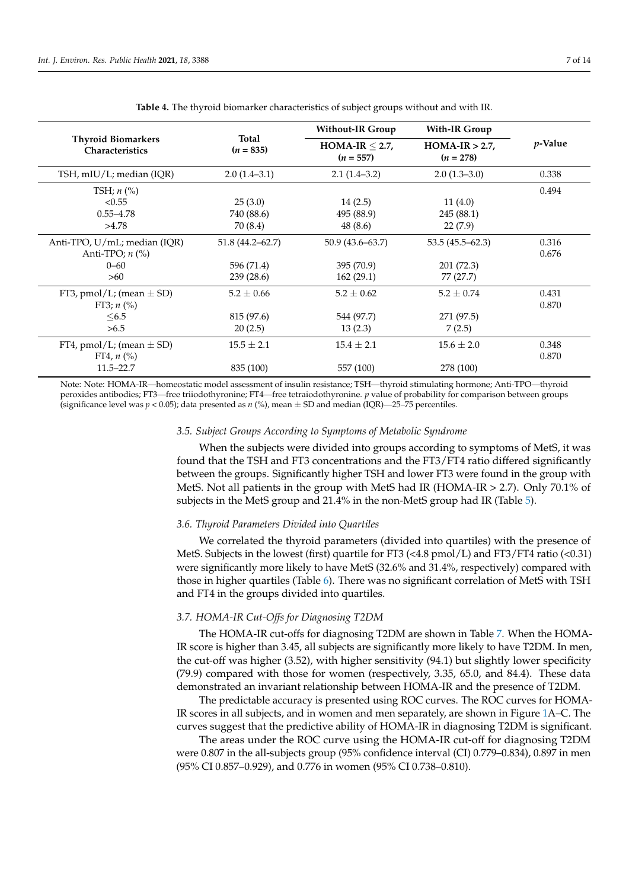<span id="page-6-0"></span>

|                                                     |                      | <b>Without-IR Group</b>        | With-IR Group                  |                 |  |
|-----------------------------------------------------|----------------------|--------------------------------|--------------------------------|-----------------|--|
| <b>Thyroid Biomarkers</b><br><b>Characteristics</b> | Total<br>$(n = 835)$ | $HOMA-IR < 2.7$<br>$(n = 557)$ | $HOMA-IR > 2.7$<br>$(n = 278)$ | <i>p</i> -Value |  |
| TSH, mIU/L; median (IQR)                            | $2.0(1.4-3.1)$       | $2.1(1.4-3.2)$                 | $2.0(1.3-3.0)$                 | 0.338           |  |
| TSH; $n$ (%)                                        |                      |                                |                                | 0.494           |  |
| < 0.55                                              | 25(3.0)              | 14(2.5)                        | 11(4.0)                        |                 |  |
| $0.55 - 4.78$                                       | 740 (88.6)           | 495 (88.9)                     | 245(88.1)                      |                 |  |
| >4.78                                               | 70 (8.4)             | 48 (8.6)                       | 22(7.9)                        |                 |  |
| Anti-TPO, U/mL; median (IQR)                        | $51.8(44.2 - 62.7)$  | $50.9(43.6 - 63.7)$            | $53.5(45.5 - 62.3)$            | 0.316           |  |
| Anti-TPO; $n$ $\left(\% \right)$                    |                      |                                |                                | 0.676           |  |
| $0 - 60$                                            | 596 (71.4)           | 395 (70.9)                     | 201 (72.3)                     |                 |  |
| >60                                                 | 239(28.6)            | 162(29.1)                      | 77 (27.7)                      |                 |  |
| FT3, pmol/L; (mean $\pm$ SD)                        | $5.2 \pm 0.66$       | $5.2 \pm 0.62$                 | $5.2 \pm 0.74$                 | 0.431           |  |
| FT3; $n$ (%)                                        |                      |                                |                                | 0.870           |  |
| <6.5                                                | 815 (97.6)           | 544 (97.7)                     | 271 (97.5)                     |                 |  |
| >6.5                                                | 20(2.5)              | 13(2.3)                        | 7(2.5)                         |                 |  |
| FT4, pmol/L; (mean $\pm$ SD)                        | $15.5 \pm 2.1$       | $15.4 \pm 2.1$                 | $15.6 \pm 2.0$                 | 0.348           |  |
| FT4, $n$ (%)                                        |                      |                                |                                | 0.870           |  |
| $11.5 - 22.7$                                       | 835 (100)            | 557 (100)                      | 278 (100)                      |                 |  |

**Table 4.** The thyroid biomarker characteristics of subject groups without and with IR.

Note: Note: HOMA-IR—homeostatic model assessment of insulin resistance; TSH—thyroid stimulating hormone; Anti-TPO—thyroid peroxides antibodies; FT3—free triiodothyronine; FT4—free tetraiodothyronine. *p* value of probability for comparison between groups (significance level was *p <* 0.05); data presented as *n* (%), mean ± SD and median (IQR)—25–75 percentiles.

# *3.5. Subject Groups According to Symptoms of Metabolic Syndrome*

When the subjects were divided into groups according to symptoms of MetS, it was found that the TSH and FT3 concentrations and the FT3/FT4 ratio differed significantly between the groups. Significantly higher TSH and lower FT3 were found in the group with MetS. Not all patients in the group with MetS had IR (HOMA-IR > 2.7). Only 70.1% of subjects in the MetS group and 21.4% in the non-MetS group had IR (Table [5\)](#page-7-0).

## *3.6. Thyroid Parameters Divided into Quartiles*

We correlated the thyroid parameters (divided into quartiles) with the presence of MetS. Subjects in the lowest (first) quartile for FT3 (<4.8 pmol/L) and FT3/FT4 ratio (<0.31) were significantly more likely to have MetS (32.6% and 31.4%, respectively) compared with those in higher quartiles (Table [6\)](#page-7-1). There was no significant correlation of MetS with TSH and FT4 in the groups divided into quartiles.

# *3.7. HOMA-IR Cut-Offs for Diagnosing T2DM*

The HOMA-IR cut-offs for diagnosing T2DM are shown in Table [7.](#page-7-2) When the HOMA-IR score is higher than 3.45, all subjects are significantly more likely to have T2DM. In men, the cut-off was higher (3.52), with higher sensitivity (94.1) but slightly lower specificity (79.9) compared with those for women (respectively, 3.35, 65.0, and 84.4). These data demonstrated an invariant relationship between HOMA-IR and the presence of T2DM.

The predictable accuracy is presented using ROC curves. The ROC curves for HOMA-IR scores in all subjects, and in women and men separately, are shown in Figure [1A](#page-8-0)–C. The curves suggest that the predictive ability of HOMA-IR in diagnosing T2DM is significant.

The areas under the ROC curve using the HOMA-IR cut-off for diagnosing T2DM were 0.807 in the all-subjects group (95% confidence interval (CI) 0.779–0.834), 0.897 in men (95% CI 0.857–0.929), and 0.776 in women (95% CI 0.738–0.810).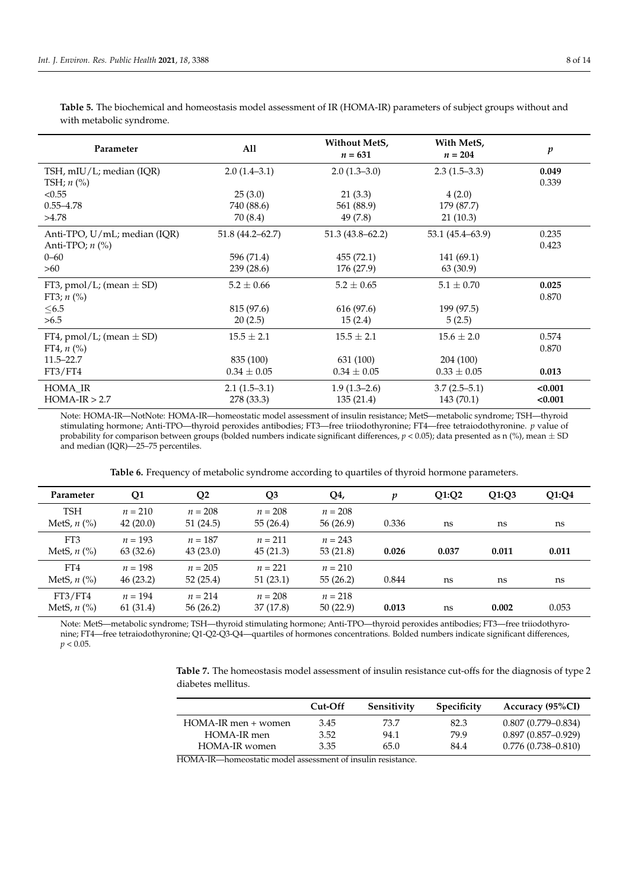| ٠ |
|---|
|   |

<span id="page-7-0"></span>**Table 5.** The biochemical and homeostasis model assessment of IR (HOMA-IR) parameters of subject groups without and with metabolic syndrome.

| Parameter                    | All                 | Without MetS,<br>$n = 631$ | With MetS,<br>$n = 204$ | $\boldsymbol{p}$ |
|------------------------------|---------------------|----------------------------|-------------------------|------------------|
| TSH, mIU/L; median (IQR)     | $2.0(1.4-3.1)$      | $2.0(1.3-3.0)$             | $2.3(1.5-3.3)$          | 0.049            |
| TSH; $n$ (%)                 |                     |                            |                         | 0.339            |
| < 0.55                       | 25(3.0)             | 21(3.3)                    | 4(2.0)                  |                  |
| $0.55 - 4.78$                | 740 (88.6)          | 561 (88.9)                 | 179 (87.7)              |                  |
| >4.78                        | 70 (8.4)            | 49 (7.8)                   | 21(10.3)                |                  |
| Anti-TPO, U/mL; median (IQR) | $51.8(44.2 - 62.7)$ | $51.3(43.8 - 62.2)$        | 53.1 (45.4–63.9)        | 0.235            |
| Anti-TPO; $n$ (%)            |                     |                            |                         | 0.423            |
| $0 - 60$                     | 596 (71.4)          | 455(72.1)                  | 141(69.1)               |                  |
| >60                          | 239(28.6)           | 176 (27.9)                 | 63 (30.9)               |                  |
| FT3, pmol/L; (mean $\pm$ SD) | $5.2 \pm 0.66$      | $5.2 \pm 0.65$             | $5.1 \pm 0.70$          | 0.025            |
| FT3; $n$ (%)                 |                     |                            |                         | 0.870            |
| $\leq 6.5$                   | 815 (97.6)          | 616 (97.6)                 | 199 (97.5)              |                  |
| >6.5                         | 20(2.5)             | 15(2.4)                    | 5(2.5)                  |                  |
| FT4, pmol/L; (mean $\pm$ SD) | $15.5 \pm 2.1$      | $15.5 \pm 2.1$             | $15.6 \pm 2.0$          | 0.574            |
| FT4, $n$ (%)                 |                     |                            |                         | 0.870            |
| $11.5 - 22.7$                | 835 (100)           | 631 (100)                  | 204 (100)               |                  |
| FT3/FT4                      | $0.34 \pm 0.05$     | $0.34 \pm 0.05$            | $0.33 \pm 0.05$         | 0.013            |
| HOMA IR                      | $2.1(1.5-3.1)$      | $1.9(1.3-2.6)$             | $3.7(2.5-5.1)$          | < 0.001          |
| $HOMA-IR > 2.7$              | 278 (33.3)          | 135(21.4)                  | 143 (70.1)              | < 0.001          |

Note: HOMA-IR—NotNote: HOMA-IR—homeostatic model assessment of insulin resistance; MetS—metabolic syndrome; TSH—thyroid stimulating hormone; Anti-TPO—thyroid peroxides antibodies; FT3—free triiodothyronine; FT4—free tetraiodothyronine. *p* value of probability for comparison between groups (bolded numbers indicate significant differences, *p* < 0.05); data presented as n (%), mean ± SD and median (IQR)—25–75 percentiles.

**Table 6.** Frequency of metabolic syndrome according to quartiles of thyroid hormone parameters.

<span id="page-7-1"></span>

| Parameter                    | Q1        | Q <sub>2</sub> | Q <sub>3</sub> | Q4,       | p     | Q1:Q2 | Q1:Q3 | Q1:Q4 |
|------------------------------|-----------|----------------|----------------|-----------|-------|-------|-------|-------|
| <b>TSH</b>                   | $n = 210$ | $n = 208$      | $n = 208$      | $n = 208$ |       |       |       |       |
| MetS, $n$ $\left(\% \right)$ | 42(20.0)  | 51(24.5)       | 55(26.4)       | 56(26.9)  | 0.336 | ns    | ns    | ns    |
| FT3                          | $n = 193$ | $n = 187$      | $n = 211$      | $n = 243$ |       |       |       |       |
| MetS, $n$ $\left(\% \right)$ | 63(32.6)  | 43(23.0)       | 45(21.3)       | 53(21.8)  | 0.026 | 0.037 | 0.011 | 0.011 |
| FT4                          | $n = 198$ | $n = 205$      | $n = 221$      | $n = 210$ |       |       |       |       |
| MetS, $n$ $\left(\% \right)$ | 46(23.2)  | 52(25.4)       | 51(23.1)       | 55(26.2)  | 0.844 | ns    | ns    | ns    |
| FT3/FT4                      | $n = 194$ | $n = 214$      | $n = 208$      | $n = 218$ |       |       |       |       |
| MetS, $n$ $\left(\% \right)$ | 61 (31.4) | 56(26.2)       | 37(17.8)       | 50(22.9)  | 0.013 | ns    | 0.002 | 0.053 |

Note: MetS—metabolic syndrome; TSH—thyroid stimulating hormone; Anti-TPO—thyroid peroxides antibodies; FT3—free triiodothyronine; FT4—free tetraiodothyronine; Q1-Q2-Q3-Q4—quartiles of hormones concentrations. Bolded numbers indicate significant differences,  $p < 0.05$ .

<span id="page-7-2"></span>**Table 7.** The homeostasis model assessment of insulin resistance cut-offs for the diagnosis of type 2 diabetes mellitus.

|                     | Cut-Off | Sensitivity | <b>Specificity</b> | Accuracy (95%CI)       |
|---------------------|---------|-------------|--------------------|------------------------|
| HOMA-IR men + women | 3.45    | 73.7        | 82.3               | $0.807(0.779 - 0.834)$ |
| HOMA-IR men         | 3.52    | 94.1        | 79.9               | $0.897(0.857-0.929)$   |
| HOMA-IR women       | 3.35    | 65.0        | 84.4               | $0.776(0.738 - 0.810)$ |

HOMA-IR—homeostatic model assessment of insulin resistance.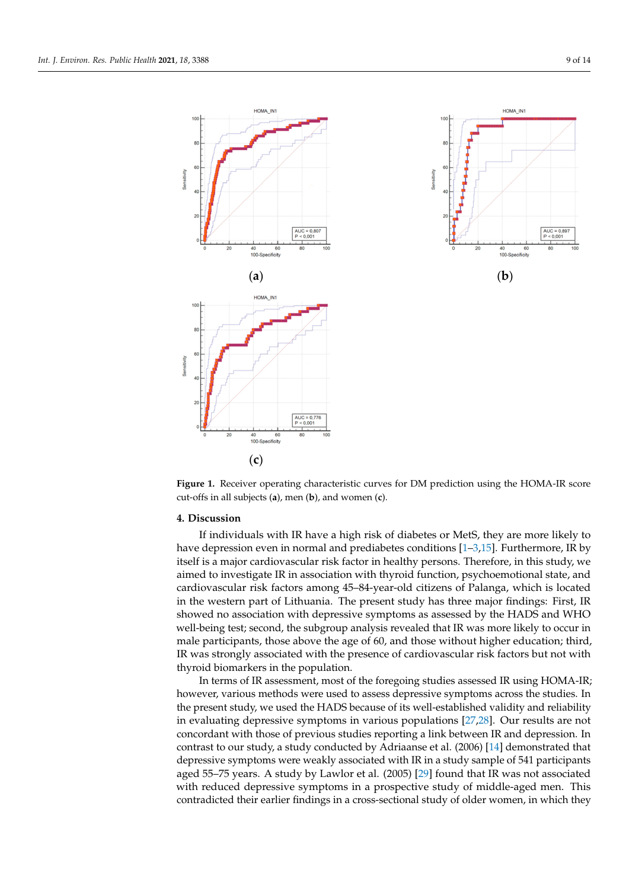<span id="page-8-0"></span>

**Figure 1.** Receiver operating characteristic curves for DM prediction using the HOMA-IR score cut‐offs in all subjects (**a**), men (**b**), and women (**c**). cut-offs in all subjects (**a**), men (**b**), and women (**c**).

## **4. Discussion**

If individuals with IR have a high risk of diabetes or MetS, they are more likely to have depression even in normal and prediabetes conditions [\[1–](#page-10-0)[3](#page-10-1)[,15\]](#page-11-11). Furthermore, IR by<br>itself is a major cardiovaccular risk factor in healthy norsons. Therefore, in this study we have depression even in normal and predictions in the predictions  $\frac{1}{2}$   $\frac{1}{2}$  and  $\frac{1}{2}$   $\frac{1}{2}$   $\frac{1}{2}$   $\frac{1}{2}$   $\frac{1}{2}$   $\frac{1}{2}$   $\frac{1}{2}$   $\frac{1}{2}$   $\frac{1}{2}$   $\frac{1}{2}$   $\frac{1}{2}$   $\frac{1}{2}$   $\frac{1}{2}$   $\$ cardiovascular risk factors among 45-84-year-old citizens of Palanga, which is located in the western part of Lithuania. The present study has three major findings: First, IR showed no association with depressive symptoms as assessed by the HADS and WHO<br> wen being test, second, the subgroup analysis revealed that it was more likely to ocean in male participants, those above the age of 60, and those without higher education; third, IR was strongly associated with the presence of cardiovascular risk factors but not with thyroid biomarkers in the population. itself is a major cardiovascular risk factor in healthy persons. Therefore, in this study, we well-being test; second, the subgroup analysis revealed that IR was more likely to occur in

In terms of IR assessment, most of the foregoing studies assessed IR using HOMA-IR; however, various methods were used to assess depressive symptoms across the studies. In<br>the present ctudy we used the HADS because of its well established validity and reliability in evaluating depressive symptoms in various populations [\[27](#page-11-23)[,28\]](#page-11-24). Our results are not the present study, we used the HADS because of its well-established validity and reliability concordant with those of previous studies reporting a link between IR and depression. In contrast to our study, a study conducted by Adriaanse et al. (2006) [\[14\]](#page-11-10) demonstrated that depressive symptoms were weakly associated with IR in a study sample of 541 participants aged 55–75 years. A study by Lawlor et al. (2005) [\[29\]](#page-11-25) found that IR was not associated with reduced depressive symptoms in a prospective study of middle-aged men. This contradicted their earlier findings in a cross-sectional study of older women, in which they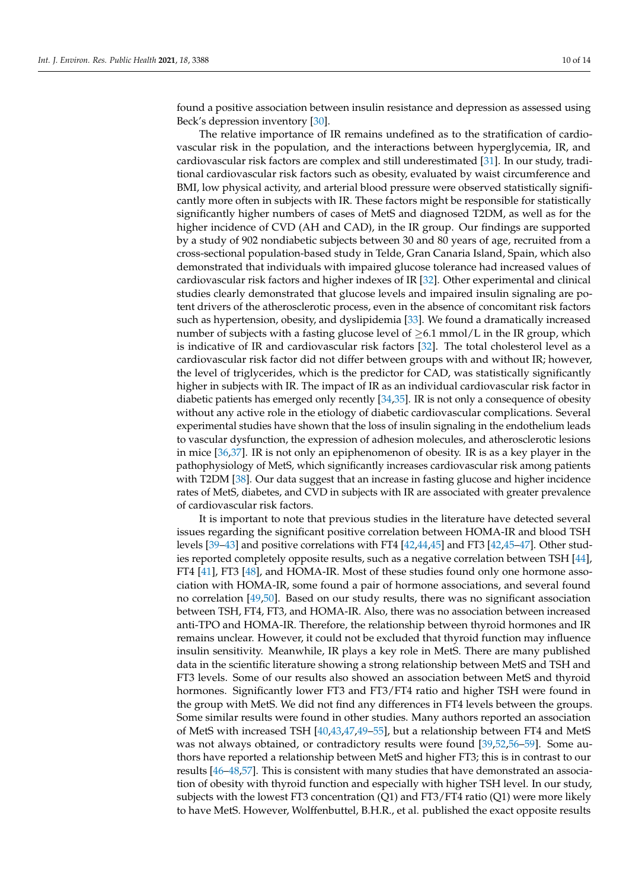found a positive association between insulin resistance and depression as assessed using Beck's depression inventory [\[30\]](#page-11-26).

The relative importance of IR remains undefined as to the stratification of cardiovascular risk in the population, and the interactions between hyperglycemia, IR, and cardiovascular risk factors are complex and still underestimated [\[31\]](#page-12-0). In our study, traditional cardiovascular risk factors such as obesity, evaluated by waist circumference and BMI, low physical activity, and arterial blood pressure were observed statistically significantly more often in subjects with IR. These factors might be responsible for statistically significantly higher numbers of cases of MetS and diagnosed T2DM, as well as for the higher incidence of CVD (AH and CAD), in the IR group. Our findings are supported by a study of 902 nondiabetic subjects between 30 and 80 years of age, recruited from a cross-sectional population-based study in Telde, Gran Canaria Island, Spain, which also demonstrated that individuals with impaired glucose tolerance had increased values of cardiovascular risk factors and higher indexes of IR [\[32\]](#page-12-1). Other experimental and clinical studies clearly demonstrated that glucose levels and impaired insulin signaling are potent drivers of the atherosclerotic process, even in the absence of concomitant risk factors such as hypertension, obesity, and dyslipidemia [\[33\]](#page-12-2). We found a dramatically increased number of subjects with a fasting glucose level of  $\geq 6.1$  mmol/L in the IR group, which is indicative of IR and cardiovascular risk factors [\[32\]](#page-12-1). The total cholesterol level as a cardiovascular risk factor did not differ between groups with and without IR; however, the level of triglycerides, which is the predictor for CAD, was statistically significantly higher in subjects with IR. The impact of IR as an individual cardiovascular risk factor in diabetic patients has emerged only recently [\[34](#page-12-3)[,35\]](#page-12-4). IR is not only a consequence of obesity without any active role in the etiology of diabetic cardiovascular complications. Several experimental studies have shown that the loss of insulin signaling in the endothelium leads to vascular dysfunction, the expression of adhesion molecules, and atherosclerotic lesions in mice [\[36,](#page-12-5)[37\]](#page-12-6). IR is not only an epiphenomenon of obesity. IR is as a key player in the pathophysiology of MetS, which significantly increases cardiovascular risk among patients with T2DM [\[38\]](#page-12-7). Our data suggest that an increase in fasting glucose and higher incidence rates of MetS, diabetes, and CVD in subjects with IR are associated with greater prevalence of cardiovascular risk factors.

It is important to note that previous studies in the literature have detected several issues regarding the significant positive correlation between HOMA-IR and blood TSH levels [\[39–](#page-12-8)[43\]](#page-12-9) and positive correlations with FT4 [\[42,](#page-12-10)[44,](#page-12-11)[45\]](#page-12-12) and FT3 [\[42,](#page-12-10)[45–](#page-12-12)[47\]](#page-12-13). Other studies reported completely opposite results, such as a negative correlation between TSH [\[44\]](#page-12-11), FT4 [\[41\]](#page-12-14), FT3 [\[48\]](#page-12-15), and HOMA-IR. Most of these studies found only one hormone association with HOMA-IR, some found a pair of hormone associations, and several found no correlation [\[49](#page-12-16)[,50\]](#page-12-17). Based on our study results, there was no significant association between TSH, FT4, FT3, and HOMA-IR. Also, there was no association between increased anti-TPO and HOMA-IR. Therefore, the relationship between thyroid hormones and IR remains unclear. However, it could not be excluded that thyroid function may influence insulin sensitivity. Meanwhile, IR plays a key role in MetS. There are many published data in the scientific literature showing a strong relationship between MetS and TSH and FT3 levels. Some of our results also showed an association between MetS and thyroid hormones. Significantly lower FT3 and FT3/FT4 ratio and higher TSH were found in the group with MetS. We did not find any differences in FT4 levels between the groups. Some similar results were found in other studies. Many authors reported an association of MetS with increased TSH [\[40](#page-12-18)[,43](#page-12-9)[,47](#page-12-13)[,49](#page-12-16)[–55\]](#page-12-19), but a relationship between FT4 and MetS was not always obtained, or contradictory results were found [\[39](#page-12-8)[,52](#page-12-20)[,56](#page-13-0)[–59\]](#page-13-1). Some authors have reported a relationship between MetS and higher FT3; this is in contrast to our results [\[46–](#page-12-21)[48,](#page-12-15)[57\]](#page-13-2). This is consistent with many studies that have demonstrated an association of obesity with thyroid function and especially with higher TSH level. In our study, subjects with the lowest FT3 concentration  $(Q1)$  and FT3/FT4 ratio  $(Q1)$  were more likely to have MetS. However, Wolffenbuttel, B.H.R., et al. published the exact opposite results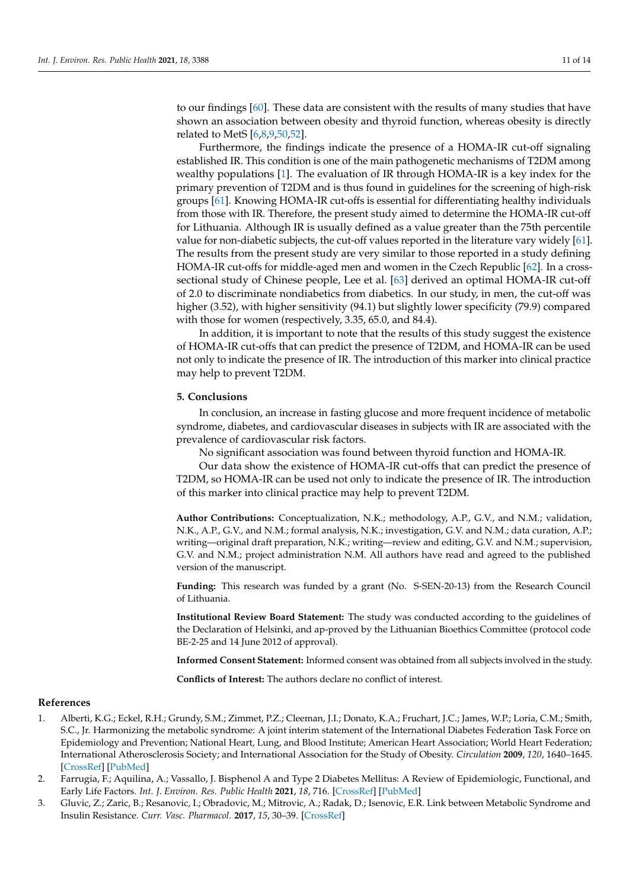to our findings [\[60\]](#page-13-3). These data are consistent with the results of many studies that have shown an association between obesity and thyroid function, whereas obesity is directly related to MetS [\[6](#page-11-2)[,8](#page-11-3)[,9](#page-11-4)[,50](#page-12-17)[,52\]](#page-12-20).

Furthermore, the findings indicate the presence of a HOMA-IR cut-off signaling established IR. This condition is one of the main pathogenetic mechanisms of T2DM among wealthy populations [\[1\]](#page-10-0). The evaluation of IR through HOMA-IR is a key index for the primary prevention of T2DM and is thus found in guidelines for the screening of high-risk groups [\[61\]](#page-13-4). Knowing HOMA-IR cut-offs is essential for differentiating healthy individuals from those with IR. Therefore, the present study aimed to determine the HOMA-IR cut-off for Lithuania. Although IR is usually defined as a value greater than the 75th percentile value for non-diabetic subjects, the cut-off values reported in the literature vary widely [\[61\]](#page-13-4). The results from the present study are very similar to those reported in a study defining HOMA-IR cut-offs for middle-aged men and women in the Czech Republic [\[62\]](#page-13-5). In a crosssectional study of Chinese people, Lee et al. [\[63\]](#page-13-6) derived an optimal HOMA-IR cut-off of 2.0 to discriminate nondiabetics from diabetics. In our study, in men, the cut-off was higher (3.52), with higher sensitivity (94.1) but slightly lower specificity (79.9) compared with those for women (respectively, 3.35, 65.0, and 84.4).

In addition, it is important to note that the results of this study suggest the existence of HOMA-IR cut-offs that can predict the presence of T2DM, and HOMA-IR can be used not only to indicate the presence of IR. The introduction of this marker into clinical practice may help to prevent T2DM.

## **5. Conclusions**

In conclusion, an increase in fasting glucose and more frequent incidence of metabolic syndrome, diabetes, and cardiovascular diseases in subjects with IR are associated with the prevalence of cardiovascular risk factors.

No significant association was found between thyroid function and HOMA-IR.

Our data show the existence of HOMA-IR cut-offs that can predict the presence of T2DM, so HOMA-IR can be used not only to indicate the presence of IR. The introduction of this marker into clinical practice may help to prevent T2DM.

**Author Contributions:** Conceptualization, N.K.; methodology, A.P., G.V., and N.M.; validation, N.K., A.P., G.V., and N.M.; formal analysis, N.K.; investigation, G.V. and N.M.; data curation, A.P.; writing—original draft preparation, N.K.; writing—review and editing, G.V. and N.M.; supervision, G.V. and N.M.; project administration N.M. All authors have read and agreed to the published version of the manuscript.

**Funding:** This research was funded by a grant (No. S-SEN-20-13) from the Research Council of Lithuania.

**Institutional Review Board Statement:** The study was conducted according to the guidelines of the Declaration of Helsinki, and ap-proved by the Lithuanian Bioethics Committee (protocol code BE-2-25 and 14 June 2012 of approval).

**Informed Consent Statement:** Informed consent was obtained from all subjects involved in the study.

**Conflicts of Interest:** The authors declare no conflict of interest.

# **References**

- <span id="page-10-0"></span>1. Alberti, K.G.; Eckel, R.H.; Grundy, S.M.; Zimmet, P.Z.; Cleeman, J.I.; Donato, K.A.; Fruchart, J.C.; James, W.P.; Loria, C.M.; Smith, S.C., Jr. Harmonizing the metabolic syndrome: A joint interim statement of the International Diabetes Federation Task Force on Epidemiology and Prevention; National Heart, Lung, and Blood Institute; American Heart Association; World Heart Federation; International Atherosclerosis Society; and International Association for the Study of Obesity. *Circulation* **2009**, *120*, 1640–1645. [\[CrossRef\]](http://doi.org/10.1161/circulationaha.109.192644) [\[PubMed\]](http://www.ncbi.nlm.nih.gov/pubmed/19805654)
- 2. Farrugia, F.; Aquilina, A.; Vassallo, J. Bisphenol A and Type 2 Diabetes Mellitus: A Review of Epidemiologic, Functional, and Early Life Factors. *Int. J. Environ. Res. Public Health* **2021**, *18*, 716. [\[CrossRef\]](http://doi.org/10.3390/ijerph18020716) [\[PubMed\]](http://www.ncbi.nlm.nih.gov/pubmed/33467592)
- <span id="page-10-1"></span>3. Gluvic, Z.; Zaric, B.; Resanovic, I.; Obradovic, M.; Mitrovic, A.; Radak, D.; Isenovic, E.R. Link between Metabolic Syndrome and Insulin Resistance. *Curr. Vasc. Pharmacol.* **2017**, *15*, 30–39. [\[CrossRef\]](http://doi.org/10.2174/1570161114666161007164510)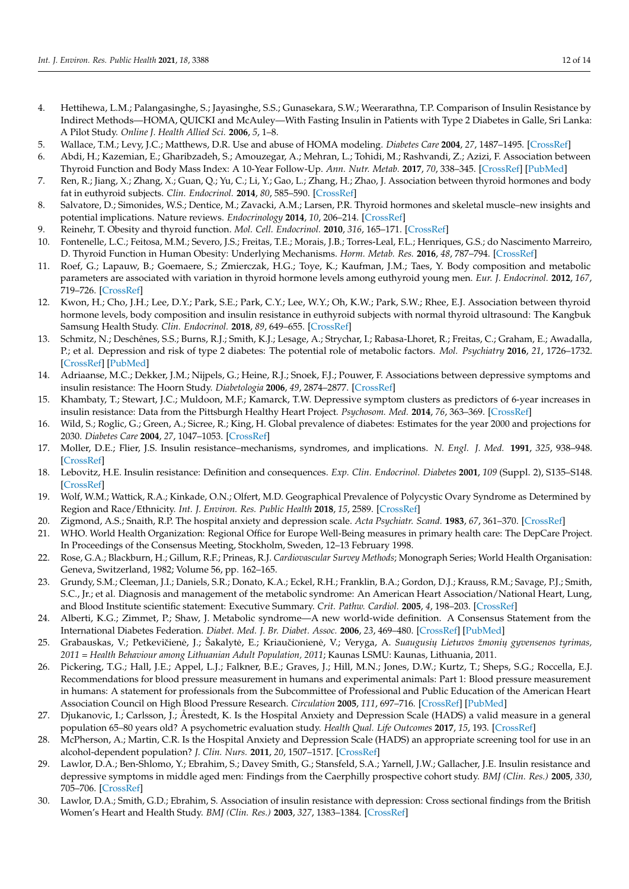- <span id="page-11-0"></span>4. Hettihewa, L.M.; Palangasinghe, S.; Jayasinghe, S.S.; Gunasekara, S.W.; Weerarathna, T.P. Comparison of Insulin Resistance by Indirect Methods—HOMA, QUICKI and McAuley—With Fasting Insulin in Patients with Type 2 Diabetes in Galle, Sri Lanka: A Pilot Study. *Online J. Health Allied Sci.* **2006**, *5*, 1–8.
- <span id="page-11-1"></span>5. Wallace, T.M.; Levy, J.C.; Matthews, D.R. Use and abuse of HOMA modeling. *Diabetes Care* **2004**, *27*, 1487–1495. [\[CrossRef\]](http://doi.org/10.2337/diacare.27.6.1487)
- <span id="page-11-2"></span>6. Abdi, H.; Kazemian, E.; Gharibzadeh, S.; Amouzegar, A.; Mehran, L.; Tohidi, M.; Rashvandi, Z.; Azizi, F. Association between Thyroid Function and Body Mass Index: A 10-Year Follow-Up. *Ann. Nutr. Metab.* **2017**, *70*, 338–345. [\[CrossRef\]](http://doi.org/10.1159/000477497) [\[PubMed\]](http://www.ncbi.nlm.nih.gov/pubmed/28618407)
- <span id="page-11-6"></span>7. Ren, R.; Jiang, X.; Zhang, X.; Guan, Q.; Yu, C.; Li, Y.; Gao, L.; Zhang, H.; Zhao, J. Association between thyroid hormones and body fat in euthyroid subjects. *Clin. Endocrinol.* **2014**, *80*, 585–590. [\[CrossRef\]](http://doi.org/10.1111/cen.12311)
- <span id="page-11-3"></span>8. Salvatore, D.; Simonides, W.S.; Dentice, M.; Zavacki, A.M.; Larsen, P.R. Thyroid hormones and skeletal muscle–new insights and potential implications. Nature reviews. *Endocrinology* **2014**, *10*, 206–214. [\[CrossRef\]](http://doi.org/10.1038/nrendo.2013.238)
- <span id="page-11-4"></span>9. Reinehr, T. Obesity and thyroid function. *Mol. Cell. Endocrinol.* **2010**, *316*, 165–171. [\[CrossRef\]](http://doi.org/10.1016/j.mce.2009.06.005)
- <span id="page-11-5"></span>10. Fontenelle, L.C.; Feitosa, M.M.; Severo, J.S.; Freitas, T.E.; Morais, J.B.; Torres-Leal, F.L.; Henriques, G.S.; do Nascimento Marreiro, D. Thyroid Function in Human Obesity: Underlying Mechanisms. *Horm. Metab. Res.* **2016**, *48*, 787–794. [\[CrossRef\]](http://doi.org/10.1055/s-0042-121421)
- <span id="page-11-7"></span>11. Roef, G.; Lapauw, B.; Goemaere, S.; Zmierczak, H.G.; Toye, K.; Kaufman, J.M.; Taes, Y. Body composition and metabolic parameters are associated with variation in thyroid hormone levels among euthyroid young men. *Eur. J. Endocrinol.* **2012**, *167*, 719–726. [\[CrossRef\]](http://doi.org/10.1530/EJE-12-0447)
- <span id="page-11-8"></span>12. Kwon, H.; Cho, J.H.; Lee, D.Y.; Park, S.E.; Park, C.Y.; Lee, W.Y.; Oh, K.W.; Park, S.W.; Rhee, E.J. Association between thyroid hormone levels, body composition and insulin resistance in euthyroid subjects with normal thyroid ultrasound: The Kangbuk Samsung Health Study. *Clin. Endocrinol.* **2018**, *89*, 649–655. [\[CrossRef\]](http://doi.org/10.1111/cen.13823)
- <span id="page-11-9"></span>13. Schmitz, N.; Deschênes, S.S.; Burns, R.J.; Smith, K.J.; Lesage, A.; Strychar, I.; Rabasa-Lhoret, R.; Freitas, C.; Graham, E.; Awadalla, P.; et al. Depression and risk of type 2 diabetes: The potential role of metabolic factors. *Mol. Psychiatry* **2016**, *21*, 1726–1732. [\[CrossRef\]](http://doi.org/10.1038/mp.2016.7) [\[PubMed\]](http://www.ncbi.nlm.nih.gov/pubmed/26903269)
- <span id="page-11-10"></span>14. Adriaanse, M.C.; Dekker, J.M.; Nijpels, G.; Heine, R.J.; Snoek, F.J.; Pouwer, F. Associations between depressive symptoms and insulin resistance: The Hoorn Study. *Diabetologia* **2006**, *49*, 2874–2877. [\[CrossRef\]](http://doi.org/10.1007/s00125-006-0500-4)
- <span id="page-11-11"></span>15. Khambaty, T.; Stewart, J.C.; Muldoon, M.F.; Kamarck, T.W. Depressive symptom clusters as predictors of 6-year increases in insulin resistance: Data from the Pittsburgh Healthy Heart Project. *Psychosom. Med.* **2014**, *76*, 363–369. [\[CrossRef\]](http://doi.org/10.1097/PSY.0000000000000063)
- <span id="page-11-12"></span>16. Wild, S.; Roglic, G.; Green, A.; Sicree, R.; King, H. Global prevalence of diabetes: Estimates for the year 2000 and projections for 2030. *Diabetes Care* **2004**, *27*, 1047–1053. [\[CrossRef\]](http://doi.org/10.2337/diacare.27.5.1047)
- <span id="page-11-13"></span>17. Moller, D.E.; Flier, J.S. Insulin resistance–mechanisms, syndromes, and implications. *N. Engl. J. Med.* **1991**, *325*, 938–948. [\[CrossRef\]](http://doi.org/10.1056/nejm199109263251307)
- <span id="page-11-14"></span>18. Lebovitz, H.E. Insulin resistance: Definition and consequences. *Exp. Clin. Endocrinol. Diabetes* **2001**, *109* (Suppl. 2), S135–S148. [\[CrossRef\]](http://doi.org/10.1055/s-2001-18576)
- <span id="page-11-15"></span>19. Wolf, W.M.; Wattick, R.A.; Kinkade, O.N.; Olfert, M.D. Geographical Prevalence of Polycystic Ovary Syndrome as Determined by Region and Race/Ethnicity. *Int. J. Environ. Res. Public Health* **2018**, *15*, 2589. [\[CrossRef\]](http://doi.org/10.3390/ijerph15112589)
- <span id="page-11-16"></span>20. Zigmond, A.S.; Snaith, R.P. The hospital anxiety and depression scale. *Acta Psychiatr. Scand.* **1983**, *67*, 361–370. [\[CrossRef\]](http://doi.org/10.1111/j.1600-0447.1983.tb09716.x)
- <span id="page-11-17"></span>21. WHO. World Health Organization: Regional Office for Europe Well-Being measures in primary health care: The DepCare Project. In Proceedings of the Consensus Meeting, Stockholm, Sweden, 12–13 February 1998.
- <span id="page-11-18"></span>22. Rose, G.A.; Blackburn, H.; Gillum, R.F.; Prineas, R.J. *Cardiovascular Survey Methods*; Monograph Series; World Health Organisation: Geneva, Switzerland, 1982; Volume 56, pp. 162–165.
- <span id="page-11-19"></span>23. Grundy, S.M.; Cleeman, J.I.; Daniels, S.R.; Donato, K.A.; Eckel, R.H.; Franklin, B.A.; Gordon, D.J.; Krauss, R.M.; Savage, P.J.; Smith, S.C., Jr.; et al. Diagnosis and management of the metabolic syndrome: An American Heart Association/National Heart, Lung, and Blood Institute scientific statement: Executive Summary. *Crit. Pathw. Cardiol.* **2005**, *4*, 198–203. [\[CrossRef\]](http://doi.org/10.1161/CIRCULATIONAHA.105.169405)
- <span id="page-11-20"></span>24. Alberti, K.G.; Zimmet, P.; Shaw, J. Metabolic syndrome—A new world-wide definition. A Consensus Statement from the International Diabetes Federation. *Diabet. Med. J. Br. Diabet. Assoc.* **2006**, *23*, 469–480. [\[CrossRef\]](http://doi.org/10.1111/j.1464-5491.2006.01858.x) [\[PubMed\]](http://www.ncbi.nlm.nih.gov/pubmed/16681555)
- <span id="page-11-21"></span>25. Grabauskas, V.; Petkevičienė, J.; Šakalytė, E.; Kriaučionienė, V.; Veryga, A. *Suaugusiu Lietuvos žmoniu gyvensenos tyrimas*, *2011 = Health Behaviour among Lithuanian Adult Population, 2011*; Kaunas LSMU: Kaunas, Lithuania, 2011.
- <span id="page-11-22"></span>26. Pickering, T.G.; Hall, J.E.; Appel, L.J.; Falkner, B.E.; Graves, J.; Hill, M.N.; Jones, D.W.; Kurtz, T.; Sheps, S.G.; Roccella, E.J. Recommendations for blood pressure measurement in humans and experimental animals: Part 1: Blood pressure measurement in humans: A statement for professionals from the Subcommittee of Professional and Public Education of the American Heart Association Council on High Blood Pressure Research. *Circulation* **2005**, *111*, 697–716. [\[CrossRef\]](http://doi.org/10.1161/01.cir.0000154900.76284.f6) [\[PubMed\]](http://www.ncbi.nlm.nih.gov/pubmed/15699287)
- <span id="page-11-23"></span>27. Djukanovic, I.; Carlsson, J.; Årestedt, K. Is the Hospital Anxiety and Depression Scale (HADS) a valid measure in a general population 65–80 years old? A psychometric evaluation study. *Health Qual. Life Outcomes* **2017**, *15*, 193. [\[CrossRef\]](http://doi.org/10.1186/s12955-017-0759-9)
- <span id="page-11-24"></span>28. McPherson, A.; Martin, C.R. Is the Hospital Anxiety and Depression Scale (HADS) an appropriate screening tool for use in an alcohol-dependent population? *J. Clin. Nurs.* **2011**, *20*, 1507–1517. [\[CrossRef\]](http://doi.org/10.1111/j.1365-2702.2010.03514.x)
- <span id="page-11-25"></span>29. Lawlor, D.A.; Ben-Shlomo, Y.; Ebrahim, S.; Davey Smith, G.; Stansfeld, S.A.; Yarnell, J.W.; Gallacher, J.E. Insulin resistance and depressive symptoms in middle aged men: Findings from the Caerphilly prospective cohort study. *BMJ (Clin. Res.)* **2005**, *330*, 705–706. [\[CrossRef\]](http://doi.org/10.1136/bmj.38377.616921.F7)
- <span id="page-11-26"></span>30. Lawlor, D.A.; Smith, G.D.; Ebrahim, S. Association of insulin resistance with depression: Cross sectional findings from the British Women's Heart and Health Study. *BMJ (Clin. Res.)* **2003**, *327*, 1383–1384. [\[CrossRef\]](http://doi.org/10.1136/bmj.327.7428.1383)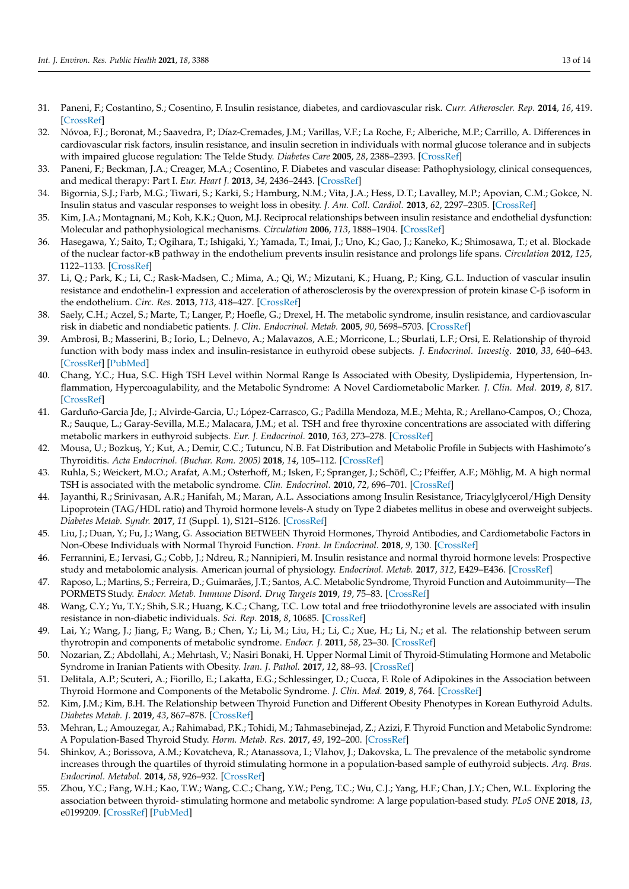- <span id="page-12-0"></span>31. Paneni, F.; Costantino, S.; Cosentino, F. Insulin resistance, diabetes, and cardiovascular risk. *Curr. Atheroscler. Rep.* **2014**, *16*, 419. [\[CrossRef\]](http://doi.org/10.1007/s11883-014-0419-z)
- <span id="page-12-1"></span>32. Nóvoa, F.J.; Boronat, M.; Saavedra, P.; Díaz-Cremades, J.M.; Varillas, V.F.; La Roche, F.; Alberiche, M.P.; Carrillo, A. Differences in cardiovascular risk factors, insulin resistance, and insulin secretion in individuals with normal glucose tolerance and in subjects with impaired glucose regulation: The Telde Study. *Diabetes Care* **2005**, *28*, 2388–2393. [\[CrossRef\]](http://doi.org/10.2337/diacare.28.10.2388)
- <span id="page-12-2"></span>33. Paneni, F.; Beckman, J.A.; Creager, M.A.; Cosentino, F. Diabetes and vascular disease: Pathophysiology, clinical consequences, and medical therapy: Part I. *Eur. Heart J.* **2013**, *34*, 2436–2443. [\[CrossRef\]](http://doi.org/10.1093/eurheartj/eht149)
- <span id="page-12-3"></span>34. Bigornia, S.J.; Farb, M.G.; Tiwari, S.; Karki, S.; Hamburg, N.M.; Vita, J.A.; Hess, D.T.; Lavalley, M.P.; Apovian, C.M.; Gokce, N. Insulin status and vascular responses to weight loss in obesity. *J. Am. Coll. Cardiol.* **2013**, *62*, 2297–2305. [\[CrossRef\]](http://doi.org/10.1016/j.jacc.2013.07.078)
- <span id="page-12-4"></span>35. Kim, J.A.; Montagnani, M.; Koh, K.K.; Quon, M.J. Reciprocal relationships between insulin resistance and endothelial dysfunction: Molecular and pathophysiological mechanisms. *Circulation* **2006**, *113*, 1888–1904. [\[CrossRef\]](http://doi.org/10.1161/CIRCULATIONAHA.105.563213)
- <span id="page-12-5"></span>36. Hasegawa, Y.; Saito, T.; Ogihara, T.; Ishigaki, Y.; Yamada, T.; Imai, J.; Uno, K.; Gao, J.; Kaneko, K.; Shimosawa, T.; et al. Blockade of the nuclear factor-κB pathway in the endothelium prevents insulin resistance and prolongs life spans. *Circulation* **2012**, *125*, 1122–1133. [\[CrossRef\]](http://doi.org/10.1161/CIRCULATIONAHA.111.054346)
- <span id="page-12-6"></span>37. Li, Q.; Park, K.; Li, C.; Rask-Madsen, C.; Mima, A.; Qi, W.; Mizutani, K.; Huang, P.; King, G.L. Induction of vascular insulin resistance and endothelin-1 expression and acceleration of atherosclerosis by the overexpression of protein kinase C-β isoform in the endothelium. *Circ. Res.* **2013**, *113*, 418–427. [\[CrossRef\]](http://doi.org/10.1161/CIRCRESAHA.113.301074)
- <span id="page-12-7"></span>38. Saely, C.H.; Aczel, S.; Marte, T.; Langer, P.; Hoefle, G.; Drexel, H. The metabolic syndrome, insulin resistance, and cardiovascular risk in diabetic and nondiabetic patients. *J. Clin. Endocrinol. Metab.* **2005**, *90*, 5698–5703. [\[CrossRef\]](http://doi.org/10.1210/jc.2005-0799)
- <span id="page-12-8"></span>39. Ambrosi, B.; Masserini, B.; Iorio, L.; Delnevo, A.; Malavazos, A.E.; Morricone, L.; Sburlati, L.F.; Orsi, E. Relationship of thyroid function with body mass index and insulin-resistance in euthyroid obese subjects. *J. Endocrinol. Investig.* **2010**, *33*, 640–643. [\[CrossRef\]](http://doi.org/10.1007/BF03346663) [\[PubMed\]](http://www.ncbi.nlm.nih.gov/pubmed/20339314)
- <span id="page-12-18"></span>40. Chang, Y.C.; Hua, S.C. High TSH Level within Normal Range Is Associated with Obesity, Dyslipidemia, Hypertension, Inflammation, Hypercoagulability, and the Metabolic Syndrome: A Novel Cardiometabolic Marker. *J. Clin. Med.* **2019**, *8*, 817. [\[CrossRef\]](http://doi.org/10.3390/jcm8060817)
- <span id="page-12-14"></span>41. Garduño-Garcia Jde, J.; Alvirde-Garcia, U.; López-Carrasco, G.; Padilla Mendoza, M.E.; Mehta, R.; Arellano-Campos, O.; Choza, R.; Sauque, L.; Garay-Sevilla, M.E.; Malacara, J.M.; et al. TSH and free thyroxine concentrations are associated with differing metabolic markers in euthyroid subjects. *Eur. J. Endocrinol.* **2010**, *163*, 273–278. [\[CrossRef\]](http://doi.org/10.1530/EJE-10-0312)
- <span id="page-12-10"></span>42. Mousa, U.; Bozkuş, Y.; Kut, A.; Demir, C.C.; Tutuncu, N.B. Fat Distribution and Metabolic Profile in Subjects with Hashimoto's Thyroiditis. *Acta Endocrinol. (Buchar. Rom. 2005)* **2018**, *14*, 105–112. [\[CrossRef\]](http://doi.org/10.4183/aeb.2018.105)
- <span id="page-12-9"></span>43. Ruhla, S.; Weickert, M.O.; Arafat, A.M.; Osterhoff, M.; Isken, F.; Spranger, J.; Schöfl, C.; Pfeiffer, A.F.; Möhlig, M. A high normal TSH is associated with the metabolic syndrome. *Clin. Endocrinol.* **2010**, *72*, 696–701. [\[CrossRef\]](http://doi.org/10.1111/j.1365-2265.2009.03698.x)
- <span id="page-12-11"></span>44. Jayanthi, R.; Srinivasan, A.R.; Hanifah, M.; Maran, A.L. Associations among Insulin Resistance, Triacylglycerol/High Density Lipoprotein (TAG/HDL ratio) and Thyroid hormone levels-A study on Type 2 diabetes mellitus in obese and overweight subjects. *Diabetes Metab. Syndr.* **2017**, *11* (Suppl. 1), S121–S126. [\[CrossRef\]](http://doi.org/10.1016/j.dsx.2016.12.020)
- <span id="page-12-12"></span>45. Liu, J.; Duan, Y.; Fu, J.; Wang, G. Association BETWEEN Thyroid Hormones, Thyroid Antibodies, and Cardiometabolic Factors in Non-Obese Individuals with Normal Thyroid Function. *Front. In Endocrinol.* **2018**, *9*, 130. [\[CrossRef\]](http://doi.org/10.3389/fendo.2018.00130)
- <span id="page-12-21"></span>46. Ferrannini, E.; Iervasi, G.; Cobb, J.; Ndreu, R.; Nannipieri, M. Insulin resistance and normal thyroid hormone levels: Prospective study and metabolomic analysis. American journal of physiology. *Endocrinol. Metab.* **2017**, *312*, E429–E436. [\[CrossRef\]](http://doi.org/10.1152/ajpendo.00464.2016)
- <span id="page-12-13"></span>47. Raposo, L.; Martins, S.; Ferreira, D.; Guimarães, J.T.; Santos, A.C. Metabolic Syndrome, Thyroid Function and Autoimmunity—The PORMETS Study. *Endocr. Metab. Immune Disord. Drug Targets* **2019**, *19*, 75–83. [\[CrossRef\]](http://doi.org/10.2174/1871530318666180801125258)
- <span id="page-12-15"></span>48. Wang, C.Y.; Yu, T.Y.; Shih, S.R.; Huang, K.C.; Chang, T.C. Low total and free triiodothyronine levels are associated with insulin resistance in non-diabetic individuals. *Sci. Rep.* **2018**, *8*, 10685. [\[CrossRef\]](http://doi.org/10.1038/s41598-018-29087-1)
- <span id="page-12-16"></span>49. Lai, Y.; Wang, J.; Jiang, F.; Wang, B.; Chen, Y.; Li, M.; Liu, H.; Li, C.; Xue, H.; Li, N.; et al. The relationship between serum thyrotropin and components of metabolic syndrome. *Endocr. J.* **2011**, *58*, 23–30. [\[CrossRef\]](http://doi.org/10.1507/endocrj.K10E-272)
- <span id="page-12-17"></span>50. Nozarian, Z.; Abdollahi, A.; Mehrtash, V.; Nasiri Bonaki, H. Upper Normal Limit of Thyroid-Stimulating Hormone and Metabolic Syndrome in Iranian Patients with Obesity. *Iran. J. Pathol.* **2017**, *12*, 88–93. [\[CrossRef\]](http://doi.org/10.30699/ijp.2017.24219)
- 51. Delitala, A.P.; Scuteri, A.; Fiorillo, E.; Lakatta, E.G.; Schlessinger, D.; Cucca, F. Role of Adipokines in the Association between Thyroid Hormone and Components of the Metabolic Syndrome. *J. Clin. Med.* **2019**, *8*, 764. [\[CrossRef\]](http://doi.org/10.3390/jcm8060764)
- <span id="page-12-20"></span>52. Kim, J.M.; Kim, B.H. The Relationship between Thyroid Function and Different Obesity Phenotypes in Korean Euthyroid Adults. *Diabetes Metab. J.* **2019**, *43*, 867–878. [\[CrossRef\]](http://doi.org/10.4093/dmj.2018.0130)
- 53. Mehran, L.; Amouzegar, A.; Rahimabad, P.K.; Tohidi, M.; Tahmasebinejad, Z.; Azizi, F. Thyroid Function and Metabolic Syndrome: A Population-Based Thyroid Study. *Horm. Metab. Res.* **2017**, *49*, 192–200. [\[CrossRef\]](http://doi.org/10.1055/s-0042-117279)
- 54. Shinkov, A.; Borissova, A.M.; Kovatcheva, R.; Atanassova, I.; Vlahov, J.; Dakovska, L. The prevalence of the metabolic syndrome increases through the quartiles of thyroid stimulating hormone in a population-based sample of euthyroid subjects. *Arq. Bras. Endocrinol. Metabol.* **2014**, *58*, 926–932. [\[CrossRef\]](http://doi.org/10.1590/0004-2730000003538)
- <span id="page-12-19"></span>55. Zhou, Y.C.; Fang, W.H.; Kao, T.W.; Wang, C.C.; Chang, Y.W.; Peng, T.C.; Wu, C.J.; Yang, H.F.; Chan, J.Y.; Chen, W.L. Exploring the association between thyroid- stimulating hormone and metabolic syndrome: A large population-based study. *PLoS ONE* **2018**, *13*, e0199209. [\[CrossRef\]](http://doi.org/10.1371/journal.pone.0199209) [\[PubMed\]](http://www.ncbi.nlm.nih.gov/pubmed/29928001)